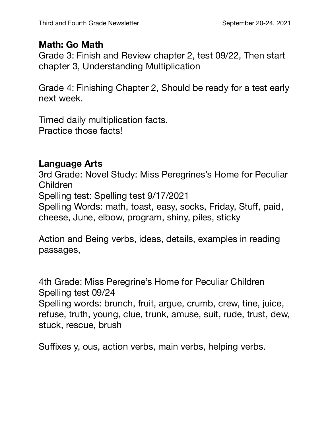## **Math: Go Math**

Grade 3: Finish and Review chapter 2, test 09/22, Then start chapter 3, Understanding Multiplication

Grade 4: Finishing Chapter 2, Should be ready for a test early next week.

Timed daily multiplication facts. Practice those facts!

## **Language Arts**

3rd Grade: Novel Study: Miss Peregrines's Home for Peculiar Children Spelling test: Spelling test 9/17/2021 Spelling Words: math, toast, easy, socks, Friday, Stuff, paid, cheese, June, elbow, program, shiny, piles, sticky

Action and Being verbs, ideas, details, examples in reading passages,

4th Grade: Miss Peregrine's Home for Peculiar Children Spelling test 09/24 Spelling words: brunch, fruit, argue, crumb, crew, tine, juice, refuse, truth, young, clue, trunk, amuse, suit, rude, trust, dew, stuck, rescue, brush

Suffixes y, ous, action verbs, main verbs, helping verbs.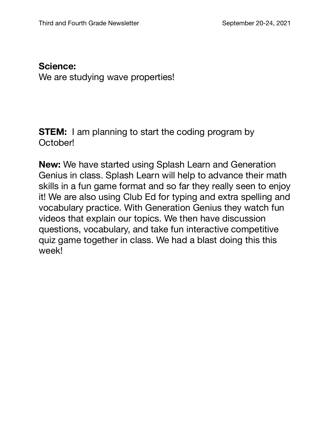## **Science:**  We are studying wave properties!

**STEM:** I am planning to start the coding program by October!

**New:** We have started using Splash Learn and Generation Genius in class. Splash Learn will help to advance their math skills in a fun game format and so far they really seen to enjoy it! We are also using Club Ed for typing and extra spelling and vocabulary practice. With Generation Genius they watch fun videos that explain our topics. We then have discussion questions, vocabulary, and take fun interactive competitive quiz game together in class. We had a blast doing this this week!